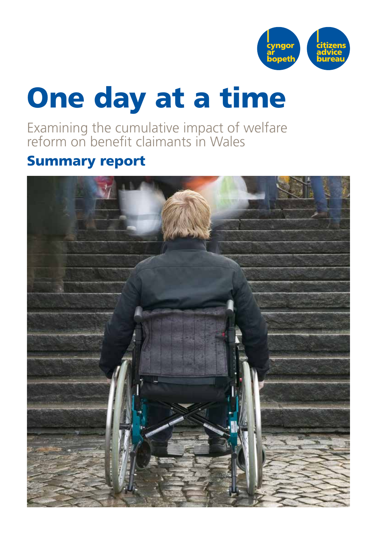

# One day at a time

Examining the cumulative impact of welfare reform on benefit claimants in Wales

## Summary report

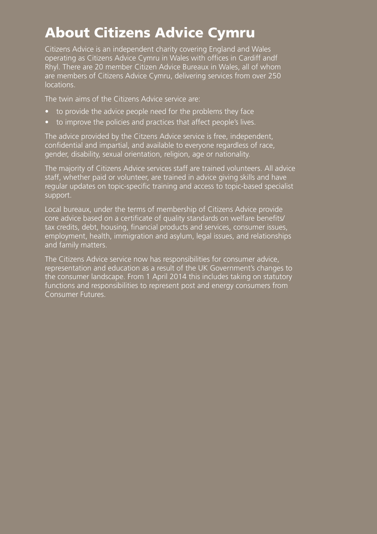# About Citizens Advice Cymru

Citizens Advice is an independent charity covering England and Wales operating as Citizens Advice Cymru in Wales with offices in Cardiff andf Rhyl. There are 20 member Citizen Advice Bureaux in Wales, all of whom are members of Citizens Advice Cymru, delivering services from over 250 locations.

The twin aims of the Citizens Advice service are:

- to provide the advice people need for the problems they face
- to improve the policies and practices that affect people's lives.

The advice provided by the Citzens Advice service is free, independent, confidential and impartial, and available to everyone regardless of race, gender, disability, sexual orientation, religion, age or nationality.

The majority of Citizens Advice services staff are trained volunteers. All advice staff, whether paid or volunteer, are trained in advice giving skills and have regular updates on topic-specific training and access to topic-based specialist support.

Local bureaux, under the terms of membership of Citizens Advice provide core advice based on a certificate of quality standards on welfare benefits/ tax credits, debt, housing, financial products and services, consumer issues, employment, health, immigration and asylum, legal issues, and relationships and family matters.

The Citizens Advice service now has responsibilities for consumer advice, representation and education as a result of the UK Government's changes to the consumer landscape. From 1 April 2014 this includes taking on statutory functions and responsibilities to represent post and energy consumers from Consumer Futures.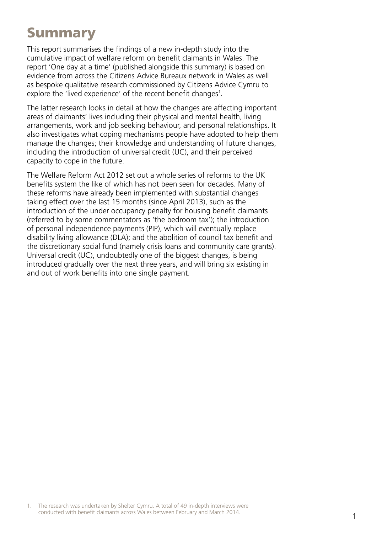## Summary

This report summarises the findings of a new in-depth study into the cumulative impact of welfare reform on benefit claimants in Wales. The report 'One day at a time' (published alongside this summary) is based on evidence from across the Citizens Advice Bureaux network in Wales as well as bespoke qualitative research commissioned by Citizens Advice Cymru to explore the 'lived experience' of the recent benefit changes<sup>1</sup>.

The latter research looks in detail at how the changes are affecting important areas of claimants' lives including their physical and mental health, living arrangements, work and job seeking behaviour, and personal relationships. It also investigates what coping mechanisms people have adopted to help them manage the changes; their knowledge and understanding of future changes, including the introduction of universal credit (UC), and their perceived capacity to cope in the future.

The Welfare Reform Act 2012 set out a whole series of reforms to the UK benefits system the like of which has not been seen for decades. Many of these reforms have already been implemented with substantial changes taking effect over the last 15 months (since April 2013), such as the introduction of the under occupancy penalty for housing benefit claimants (referred to by some commentators as 'the bedroom tax'); the introduction of personal independence payments (PIP), which will eventually replace disability living allowance (DLA); and the abolition of council tax benefit and the discretionary social fund (namely crisis loans and community care grants). Universal credit (UC), undoubtedly one of the biggest changes, is being introduced gradually over the next three years, and will bring six existing in and out of work benefits into one single payment.

1. The research was undertaken by Shelter Cymru. A total of 49 in-depth interviews were conducted with benefit claimants across Wales between February and March 2014.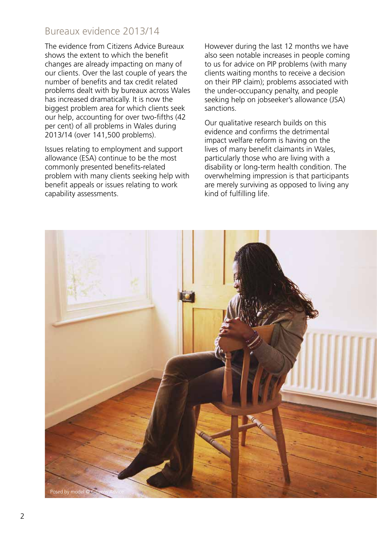#### Bureaux evidence 2013/14

The evidence from Citizens Advice Bureaux shows the extent to which the benefit changes are already impacting on many of our clients. Over the last couple of years the number of benefits and tax credit related problems dealt with by bureaux across Wales has increased dramatically. It is now the biggest problem area for which clients seek our help, accounting for over two-fifths (42 per cent) of all problems in Wales during 2013/14 (over 141,500 problems).

Issues relating to employment and support allowance (ESA) continue to be the most commonly presented benefits-related problem with many clients seeking help with benefit appeals or issues relating to work capability assessments.

However during the last 12 months we have also seen notable increases in people coming to us for advice on PIP problems (with many clients waiting months to receive a decision on their PIP claim); problems associated with the under-occupancy penalty, and people seeking help on jobseeker's allowance (JSA) sanctions.

Our qualitative research builds on this evidence and confirms the detrimental impact welfare reform is having on the lives of many benefit claimants in Wales, particularly those who are living with a disability or long-term health condition. The overwhelming impression is that participants are merely surviving as opposed to living any kind of fulfilling life.

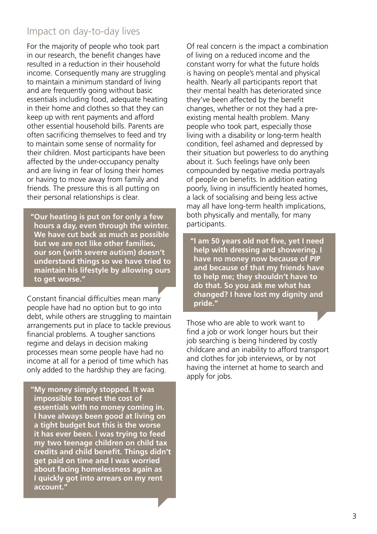#### Impact on day-to-day lives

For the majority of people who took part in our research, the benefit changes have resulted in a reduction in their household income. Consequently many are struggling to maintain a minimum standard of living and are frequently going without basic essentials including food, adequate heating in their home and clothes so that they can keep up with rent payments and afford other essential household bills. Parents are often sacrificing themselves to feed and try to maintain some sense of normality for their children. Most participants have been affected by the under-occupancy penalty and are living in fear of losing their homes or having to move away from family and friends. The pressure this is all putting on their personal relationships is clear.

**"Our heating is put on for only a few hours a day, even through the winter. We have cut back as much as possible but we are not like other families, our son (with severe autism) doesn't understand things so we have tried to maintain his lifestyle by allowing ours to get worse."**

Constant financial difficulties mean many people have had no option but to go into debt, while others are struggling to maintain arrangements put in place to tackle previous financial problems. A tougher sanctions regime and delays in decision making processes mean some people have had no income at all for a period of time which has only added to the hardship they are facing.

**"My money simply stopped. It was impossible to meet the cost of essentials with no money coming in. I have always been good at living on a tight budget but this is the worse it has ever been. I was trying to feed my two teenage children on child tax credits and child benefit. Things didn't get paid on time and I was worried about facing homelessness again as I quickly got into arrears on my rent account."** 

Of real concern is the impact a combination of living on a reduced income and the constant worry for what the future holds is having on people's mental and physical health. Nearly all participants report that their mental health has deteriorated since they've been affected by the benefit changes, whether or not they had a preexisting mental health problem. Many people who took part, especially those living with a disability or long-term health condition, feel ashamed and depressed by their situation but powerless to do anything about it. Such feelings have only been compounded by negative media portrayals of people on benefits. In addition eating poorly, living in insufficiently heated homes, a lack of socialising and being less active may all have long-term health implications, both physically and mentally, for many participants.

**"I am 50 years old not five, yet I need help with dressing and showering. I have no money now because of PIP and because of that my friends have to help me; they shouldn't have to do that. So you ask me what has changed? I have lost my dignity and pride."**

Those who are able to work want to find a job or work longer hours but their job searching is being hindered by costly childcare and an inability to afford transport and clothes for job interviews, or by not having the internet at home to search and apply for jobs.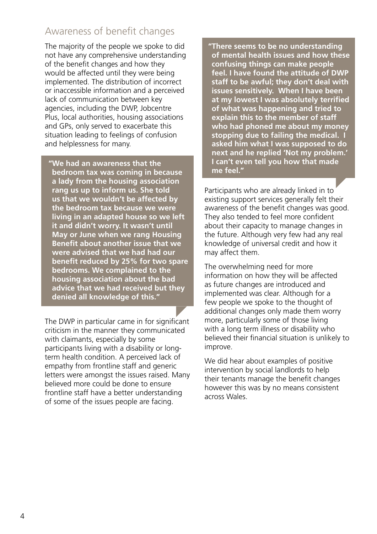#### Awareness of benefit changes

The majority of the people we spoke to did not have any comprehensive understanding of the benefit changes and how they would be affected until they were being implemented. The distribution of incorrect or inaccessible information and a perceived lack of communication between key agencies, including the DWP, Jobcentre Plus, local authorities, housing associations and GPs, only served to exacerbate this situation leading to feelings of confusion and helplessness for many.

**"We had an awareness that the bedroom tax was coming in because a lady from the housing association rang us up to inform us. She told us that we wouldn't be affected by the bedroom tax because we were living in an adapted house so we left it and didn't worry. It wasn't until May or June when we rang Housing Benefit about another issue that we were advised that we had had our benefit reduced by 25% for two spare bedrooms. We complained to the housing association about the bad advice that we had received but they denied all knowledge of this."**

The DWP in particular came in for significant criticism in the manner they communicated with claimants, especially by some participants living with a disability or longterm health condition. A perceived lack of empathy from frontline staff and generic letters were amongst the issues raised. Many believed more could be done to ensure frontline staff have a better understanding of some of the issues people are facing.

**"There seems to be no understanding of mental health issues and how these confusing things can make people feel. I have found the attitude of DWP staff to be awful; they don't deal with issues sensitively. When I have been at my lowest I was absolutely terrified of what was happening and tried to explain this to the member of staff who had phoned me about my money stopping due to failing the medical. I asked him what I was supposed to do next and he replied 'Not my problem.' I can't even tell you how that made me feel."** 

Participants who are already linked in to existing support services generally felt their awareness of the benefit changes was good. They also tended to feel more confident about their capacity to manage changes in the future. Although very few had any real knowledge of universal credit and how it may affect them.

The overwhelming need for more information on how they will be affected as future changes are introduced and implemented was clear. Although for a few people we spoke to the thought of additional changes only made them worry more, particularly some of those living with a long term illness or disability who believed their financial situation is unlikely to improve.

We did hear about examples of positive intervention by social landlords to help their tenants manage the benefit changes however this was by no means consistent across Wales.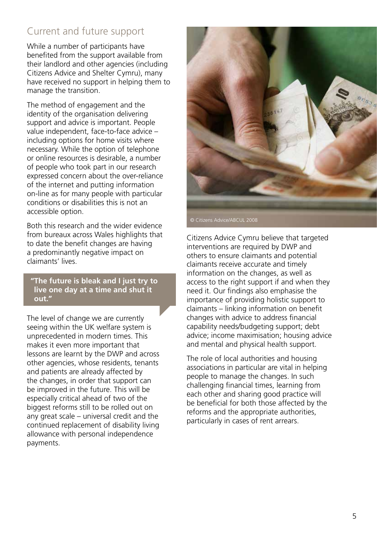## Current and future support

While a number of participants have benefited from the support available from their landlord and other agencies (including Citizens Advice and Shelter Cymru), many have received no support in helping them to manage the transition.

The method of engagement and the identity of the organisation delivering support and advice is important. People value independent, face-to-face advice – including options for home visits where necessary. While the option of telephone or online resources is desirable, a number of people who took part in our research expressed concern about the over-reliance of the internet and putting information on-line as for many people with particular conditions or disabilities this is not an accessible option.

Both this research and the wider evidence from bureaux across Wales highlights that to date the benefit changes are having a predominantly negative impact on claimants' lives.

**"The future is bleak and I just try to live one day at a time and shut it out."**

The level of change we are currently seeing within the UK welfare system is unprecedented in modern times. This makes it even more important that lessons are learnt by the DWP and across other agencies, whose residents, tenants and patients are already affected by the changes, in order that support can be improved in the future. This will be especially critical ahead of two of the biggest reforms still to be rolled out on any great scale – universal credit and the continued replacement of disability living allowance with personal independence payments.



Citizens Advice Cymru believe that targeted interventions are required by DWP and others to ensure claimants and potential claimants receive accurate and timely information on the changes, as well as access to the right support if and when they need it. Our findings also emphasise the importance of providing holistic support to claimants – linking information on benefit changes with advice to address financial capability needs/budgeting support; debt advice; income maximisation; housing advice and mental and physical health support.

The role of local authorities and housing associations in particular are vital in helping people to manage the changes. In such challenging financial times, learning from each other and sharing good practice will be beneficial for both those affected by the reforms and the appropriate authorities, particularly in cases of rent arrears.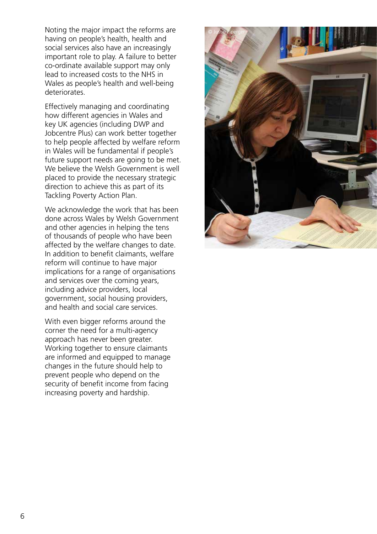Noting the major impact the reforms are having on people's health, health and social services also have an increasingly important role to play. A failure to better co-ordinate available support may only lead to increased costs to the NHS in Wales as people's health and well-being deteriorates.

Effectively managing and coordinating how different agencies in Wales and key UK agencies (including DWP and Jobcentre Plus) can work better together to help people affected by welfare reform in Wales will be fundamental if people's future support needs are going to be met. We believe the Welsh Government is well placed to provide the necessary strategic direction to achieve this as part of its Tackling Poverty Action Plan.

We acknowledge the work that has been done across Wales by Welsh Government and other agencies in helping the tens of thousands of people who have been affected by the welfare changes to date. In addition to benefit claimants, welfare reform will continue to have major implications for a range of organisations and services over the coming years, including advice providers, local government, social housing providers, and health and social care services.

With even bigger reforms around the corner the need for a multi-agency approach has never been greater. Working together to ensure claimants are informed and equipped to manage changes in the future should help to prevent people who depend on the security of benefit income from facing increasing poverty and hardship.

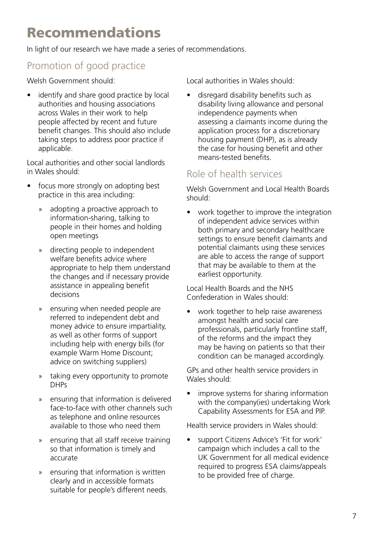# Recommendations

In light of our research we have made a series of recommendations.

## Promotion of good practice

Welsh Government should:

identify and share good practice by local authorities and housing associations across Wales in their work to help people affected by recent and future benefit changes. This should also include taking steps to address poor practice if applicable.

Local authorities and other social landlords in Wales should:

- focus more strongly on adopting best practice in this area including:
	- » adopting a proactive approach to information-sharing, talking to people in their homes and holding open meetings
	- » directing people to independent welfare benefits advice where appropriate to help them understand the changes and if necessary provide assistance in appealing benefit decisions
	- » ensuring when needed people are referred to independent debt and money advice to ensure impartiality, as well as other forms of support including help with energy bills (for example Warm Home Discount; advice on switching suppliers)
	- » taking every opportunity to promote DHPs
	- » ensuring that information is delivered face-to-face with other channels such as telephone and online resources available to those who need them
	- » ensuring that all staff receive training so that information is timely and accurate
	- » ensuring that information is written clearly and in accessible formats suitable for people's different needs.

Local authorities in Wales should:

• disregard disability benefits such as disability living allowance and personal independence payments when assessing a claimants income during the application process for a discretionary housing payment (DHP), as is already the case for housing benefit and other means-tested benefits.

#### Role of health services

Welsh Government and Local Health Boards should:

• work together to improve the integration of independent advice services within both primary and secondary healthcare settings to ensure benefit claimants and potential claimants using these services are able to access the range of support that may be available to them at the earliest opportunity.

Local Health Boards and the NHS Confederation in Wales should:

• work together to help raise awareness amongst health and social care professionals, particularly frontline staff, of the reforms and the impact they may be having on patients so that their condition can be managed accordingly.

GPs and other health service providers in Wales should:

• improve systems for sharing information with the company(ies) undertaking Work Capability Assessments for ESA and PIP.

Health service providers in Wales should:

support Citizens Advice's 'Fit for work' campaign which includes a call to the UK Government for all medical evidence required to progress ESA claims/appeals to be provided free of charge.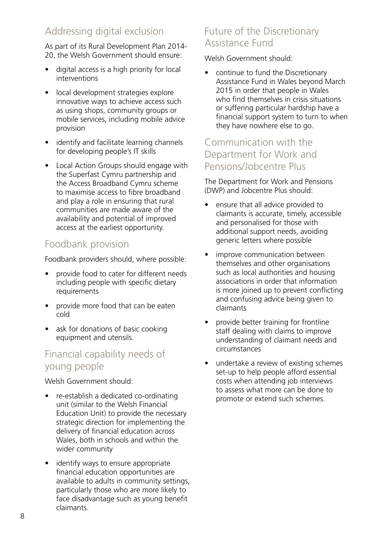## Addressing digital exclusion

As part of its Rural Development Plan 2014- 20, the Welsh Government should ensure:

- digital access is a high priority for local interventions
- local development strategies explore innovative ways to achieve access such as using shops, community groups or mobile services, including mobile advice provision
- identify and facilitate learning channels for developing people's IT skills
- Local Action Groups should engage with the Superfast Cymru partnership and the Access Broadband Cymru scheme to maximise access to fibre broadband and play a role in ensuring that rural communities are made aware of the availability and potential of improved access at the earliest opportunity.

### Foodbank provision

Foodbank providers should, where possible:

- provide food to cater for different needs including people with specific dietary requirements
- provide more food that can be eaten cold
- ask for donations of basic cooking equipment and utensils.

### Financial capability needs of young people

Welsh Government should:

- re-establish a dedicated co-ordinating unit (similar to the Welsh Financial Education Unit) to provide the necessary strategic direction for implementing the delivery of financial education across Wales, both in schools and within the wider community
- identify ways to ensure appropriate financial education opportunities are available to adults in community settings, particularly those who are more likely to face disadvantage such as young benefit claimants.

#### Future of the Discretionary Assistance Fund

Welsh Government should:

• continue to fund the Discretionary Assistance Fund in Wales beyond March 2015 in order that people in Wales who find themselves in crisis situations or suffering particular hardship have a financial support system to turn to when they have nowhere else to go.

#### Communication with the Department for Work and Pensions/Jobcentre Plus

The Department for Work and Pensions (DWP) and Jobcentre Plus should:

- ensure that all advice provided to claimants is accurate, timely, accessible and personalised for those with additional support needs, avoiding generic letters where possible
- improve communication between themselves and other organisations such as local authorities and housing associations in order that information is more joined up to prevent conflicting and confusing advice being given to claimants
- provide better training for frontline staff dealing with claims to improve understanding of claimant needs and circumstances
- undertake a review of existing schemes set-up to help people afford essential costs when attending job interviews to assess what more can be done to promote or extend such schemes.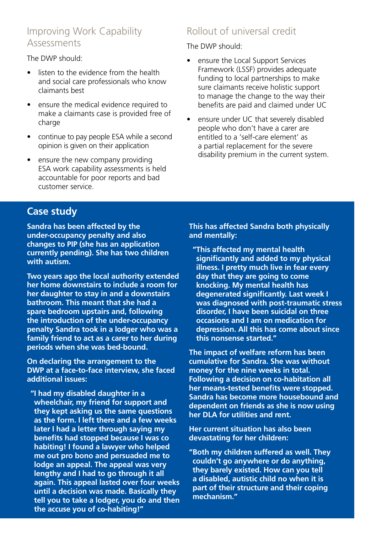#### Improving Work Capability Assessments

The DWP should:

- listen to the evidence from the health and social care professionals who know claimants best
- ensure the medical evidence required to make a claimants case is provided free of charge
- continue to pay people ESA while a second opinion is given on their application
- ensure the new company providing ESA work capability assessments is held accountable for poor reports and bad customer service.

### Rollout of universal credit

The DWP should:

- ensure the Local Support Services Framework (LSSF) provides adequate funding to local partnerships to make sure claimants receive holistic support to manage the change to the way their benefits are paid and claimed under UC
- ensure under UC that severely disabled people who don't have a carer are entitled to a 'self-care element' as a partial replacement for the severe disability premium in the current system.

#### **Case study**

**Sandra has been affected by the under-occupancy penalty and also changes to PIP (she has an application currently pending). She has two children with autism.** 

**Two years ago the local authority extended her home downstairs to include a room for her daughter to stay in and a downstairs bathroom. This meant that she had a spare bedroom upstairs and, following the introduction of the under-occupancy penalty Sandra took in a lodger who was a family friend to act as a carer to her during periods when she was bed-bound.**

**On declaring the arrangement to the DWP at a face-to-face interview, she faced additional issues:** 

**"I had my disabled daughter in a wheelchair, my friend for support and they kept asking us the same questions as the form. I left there and a few weeks later I had a letter through saying my benefits had stopped because I was co habiting! I found a lawyer who helped me out pro bono and persuaded me to lodge an appeal. The appeal was very lengthy and I had to go through it all again. This appeal lasted over four weeks until a decision was made. Basically they tell you to take a lodger, you do and then the accuse you of co-habiting!"**

**This has affected Sandra both physically and mentally:**

**"This affected my mental health significantly and added to my physical illness. I pretty much live in fear every day that they are going to come knocking. My mental health has degenerated significantly. Last week I was diagnosed with post-traumatic stress disorder, I have been suicidal on three occasions and I am on medication for depression. All this has come about since this nonsense started."**

**The impact of welfare reform has been cumulative for Sandra. She was without money for the nine weeks in total. Following a decision on co-habitation all her means-tested benefits were stopped. Sandra has become more housebound and dependent on friends as she is now using her DLA for utilities and rent.**

**Her current situation has also been devastating for her children:**

**"Both my children suffered as well. They couldn't go anywhere or do anything, they barely existed. How can you tell a disabled, autistic child no when it is part of their structure and their coping mechanism."**